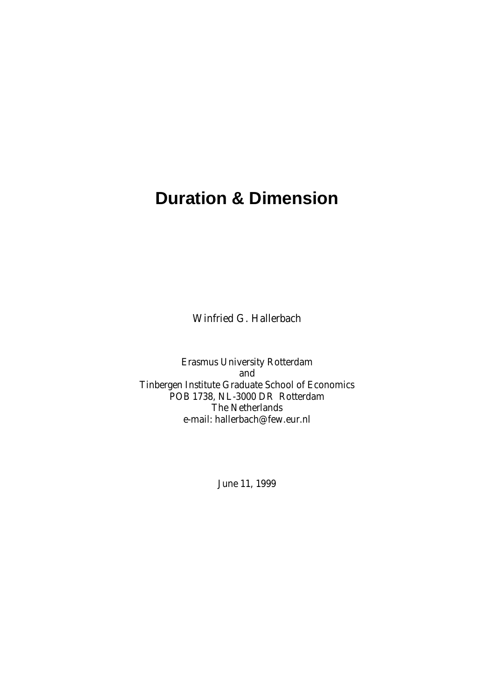# **Duration & Dimension**

Winfried G. Hallerbach

Erasmus University Rotterdam and Tinbergen Institute Graduate School of Economics POB 1738, NL-3000 DR Rotterdam The Netherlands e-mail: hallerbach@few.eur.nl

June 11, 1999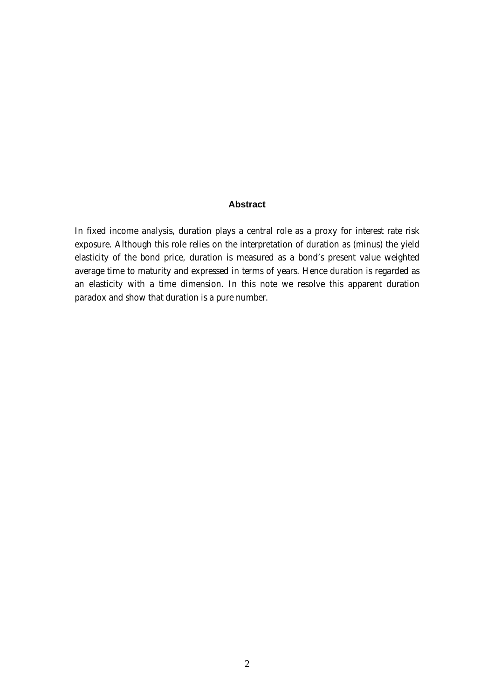# **Abstract**

In fixed income analysis, duration plays a central role as a proxy for interest rate risk exposure. Although this role relies on the interpretation of duration as (minus) the yield elasticity of the bond price, duration is measured as a bond's present value weighted average time to maturity and expressed in terms of years. Hence duration is regarded as an elasticity with a time dimension. In this note we resolve this apparent duration paradox and show that duration is a pure number.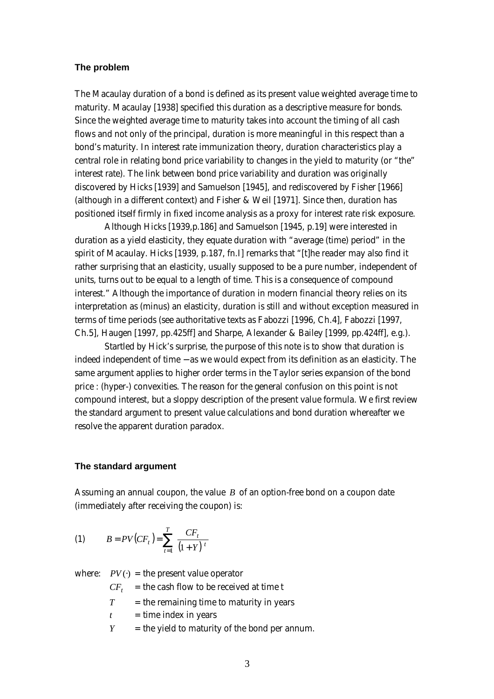## **The problem**

The Macaulay duration of a bond is defined as its present value weighted average time to maturity. Macaulay [1938] specified this duration as a descriptive measure for bonds. Since the weighted average time to maturity takes into account the timing of all cash flows and not only of the principal, duration is more meaningful in this respect than a bond's maturity. In interest rate immunization theory, duration characteristics play a central role in relating bond price variability to changes in the yield to maturity (or "the" interest rate). The link between bond price variability and duration was originally discovered by Hicks [1939] and Samuelson [1945], and rediscovered by Fisher [1966] (although in a different context) and Fisher & Weil [1971]. Since then, duration has positioned itself firmly in fixed income analysis as a proxy for interest rate risk exposure.

Although Hicks [1939,p.186] and Samuelson [1945, p.19] were interested in duration as a yield elasticity, they equate duration with "average (time) period" in the spirit of Macaulay. Hicks [1939, p.187, fn.I] remarks that "[t]he reader may also find it rather surprising that an elasticity, usually supposed to be a pure number, independent of units, turns out to be equal to a length of time. This is a consequence of compound interest." Although the importance of duration in modern financial theory relies on its interpretation as (minus) an elasticity, duration is still and without exception measured in terms of time periods (see authoritative texts as Fabozzi [1996, Ch.4], Fabozzi [1997, Ch.5], Haugen [1997, pp.425ff] and Sharpe, Alexander & Bailey [1999, pp.424ff], e.g.).

Startled by Hick's surprise, the purpose of this note is to show that duration is indeed independent of time − as we would expect from its definition as an elasticity. The same argument applies to higher order terms in the Taylor series expansion of the bond price : (hyper-) convexities. The reason for the general confusion on this point is not compound interest, but a sloppy description of the present value formula. We first review the standard argument to present value calculations and bond duration whereafter we resolve the apparent duration paradox.

#### **The standard argument**

Assuming an annual coupon, the value *B* of an option-free bond on a coupon date (immediately after receiving the coupon) is:

(1) 
$$
B = PV(CF_t) = \sum_{t=1}^{T} \frac{CF_t}{(1+Y)^t}
$$

where:  $PV(\cdot)$  = the present value operator

- $CF<sub>t</sub>$  = the cash flow to be received at time t
- $T =$  the remaining time to maturity in years
- $t =$  time index in years
- $Y =$  the yield to maturity of the bond per annum.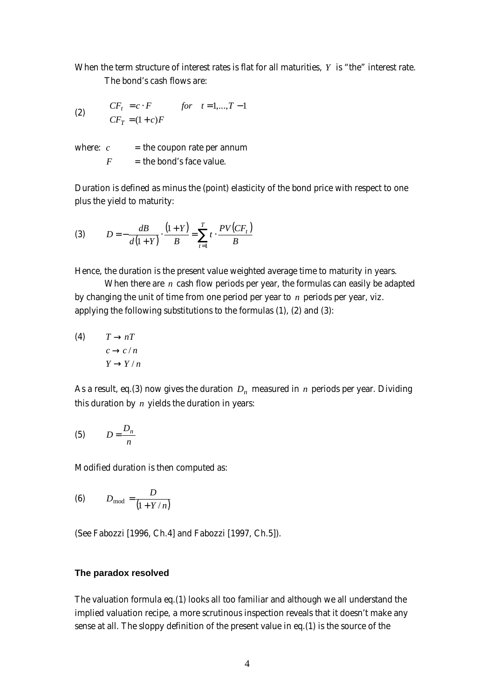When the term structure of interest rates is flat for all maturities, *Y* is "the" interest rate. The bond's cash flows are:

(2) 
$$
CF_t = c \cdot F
$$
 for  $t = 1,...,T-1$   
\n $CF_T = (1+c)F$ 

where:  $c =$  the coupon rate per annum  $F =$  the bond's face value.

Duration is defined as minus the (point) elasticity of the bond price with respect to one plus the yield to maturity:

(3) 
$$
D = -\frac{dB}{d(1+Y)} \cdot \frac{(1+Y)}{B} = \sum_{t=1}^{T} t \cdot \frac{PV(CF_t)}{B}
$$

Hence, the duration is the present value weighted average time to maturity in years.

When there are *n* cash flow periods per year, the formulas can easily be adapted by changing the unit of time from one period per year to *n* periods per year, viz. applying the following substitutions to the formulas (1), (2) and (3):

(4) 
$$
T \rightarrow nT
$$
  
\n $c \rightarrow c/n$   
\n $Y \rightarrow Y/n$ 

As a result, eq.(3) now gives the duration  $\,D_{n}\,$  measured in  $\,n\,$  periods per year. Dividing this duration by *n* yields the duration in years:

$$
(5) \tD = \frac{D_n}{n}
$$

Modified duration is then computed as:

$$
(6) \t Dmod = \frac{D}{(1+Y/n)}
$$

(See Fabozzi [1996, Ch.4] and Fabozzi [1997, Ch.5]).

## **The paradox resolved**

The valuation formula eq.(1) looks all too familiar and although we all understand the implied valuation recipe, a more scrutinous inspection reveals that it doesn't make any sense at all. The sloppy definition of the present value in eq.(1) is the source of the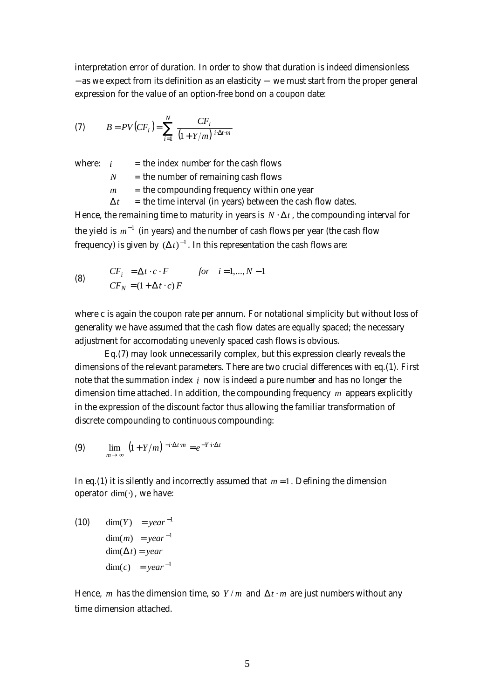interpretation error of duration. In order to show that duration is indeed dimensionless − as we expect from its definition as an elasticity − we must start from the proper general expression for the value of an option-free bond on a coupon date:

(7) 
$$
B = PV(CF_i) = \sum_{i=1}^{N} \frac{CF_i}{(1 + Y/m)^{i \cdot \Delta t \cdot m}}
$$

where:  $i =$  the index number for the cash flows

 $N =$  the number of remaining cash flows

 $m =$  the compounding frequency within one year

 $\Delta t$  = the time interval (in years) between the cash flow dates.

Hence, the remaining time to maturity in years is  $N \cdot \Delta t$ , the compounding interval for the yield is  $m^{-1}$  (in years) and the number of cash flows per year (the cash flow frequency) is given by  $\left(\Delta t\right)^{-1}$ . In this representation the cash flows are:

(8) 
$$
CF_i = \Delta t \cdot c \cdot F \qquad \text{for} \quad i = 1,...,N-1
$$

$$
CF_N = (1 + \Delta t \cdot c) F
$$

where c is again the coupon rate per annum. For notational simplicity but without loss of generality we have assumed that the cash flow dates are equally spaced; the necessary adjustment for accomodating unevenly spaced cash flows is obvious.

Eq.(7) may look unnecessarily complex, but this expression clearly reveals the dimensions of the relevant parameters. There are two crucial differences with eq.(1). First note that the summation index *i* now is indeed a pure number and has no longer the dimension time attached. In addition, the compounding frequency *m* appears explicitly in the expression of the discount factor thus allowing the familiar transformation of discrete compounding to continuous compounding:

$$
(9) \qquad \lim_{m \to \infty} \left(1 + Y/m\right)^{-i \cdot \Delta t \cdot m} = e^{-Y \cdot i \cdot \Delta t}
$$

In eq.(1) it is silently and incorrectly assumed that  $m = 1$ . Defining the dimension operator dim(⋅) , we have:

(10) 
$$
\dim(Y) = year^{-1}
$$

$$
\dim(m) = year^{-1}
$$

$$
\dim(\Delta t) = year
$$

$$
\dim(c) = year^{-1}
$$

Hence, *m* has the dimension time, so  $Y/m$  and  $\Delta t \cdot m$  are just numbers without any time dimension attached.